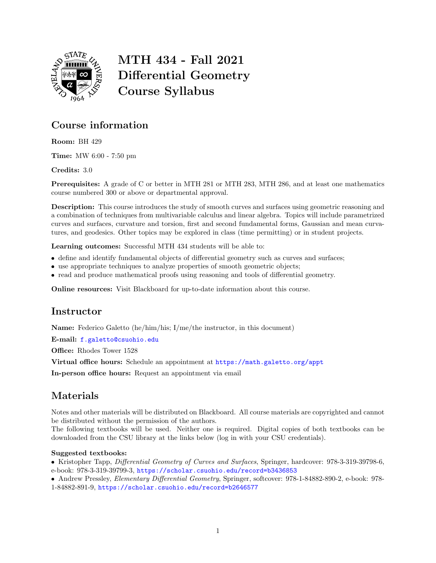

# MTH 434 - Fall 2021 Differential Geometry Course Syllabus

## Course information

Room: BH 429

Time: MW 6:00 - 7:50 pm

Credits: 3.0

Prerequisites: A grade of C or better in MTH 281 or MTH 283, MTH 286, and at least one mathematics course numbered 300 or above or departmental approval.

Description: This course introduces the study of smooth curves and surfaces using geometric reasoning and a combination of techniques from multivariable calculus and linear algebra. Topics will include parametrized curves and surfaces, curvature and torsion, first and second fundamental forms, Gaussian and mean curvatures, and geodesics. Other topics may be explored in class (time permitting) or in student projects.

Learning outcomes: Successful MTH 434 students will be able to:

- define and identify fundamental objects of differential geometry such as curves and surfaces;
- use appropriate techniques to analyze properties of smooth geometric objects;
- read and produce mathematical proofs using reasoning and tools of differential geometry.

Online resources: Visit Blackboard for up-to-date information about this course.

#### **Instructor**

Name: Federico Galetto (he/him/his; I/me/the instructor, in this document)

E-mail: [f.galetto@csuohio.edu](mailto:f.galetto@csuohio.edu)

Office: Rhodes Tower 1528

Virtual office hours: Schedule an appointment at [https://math.galetto.org/appt](https://doodle.com/mm/federicogaletto/make-appointment)

In-person office hours: Request an appointment via email

# Materials

Notes and other materials will be distributed on Blackboard. All course materials are copyrighted and cannot be distributed without the permission of the authors.

The following textbooks will be used. Neither one is required. Digital copies of both textbooks can be downloaded from the CSU library at the links below (log in with your CSU credentials).

#### Suggested textbooks:

Kristopher Tapp, Differential Geometry of Curves and Surfaces, Springer, hardcover: 978-3-319-39798-6, e-book: 978-3-319-39799-3, <https://scholar.csuohio.edu/record=b3436853>

 Andrew Pressley, Elementary Differential Geometry, Springer, softcover: 978-1-84882-890-2, e-book: 978- 1-84882-891-9, <https://scholar.csuohio.edu/record=b2646577>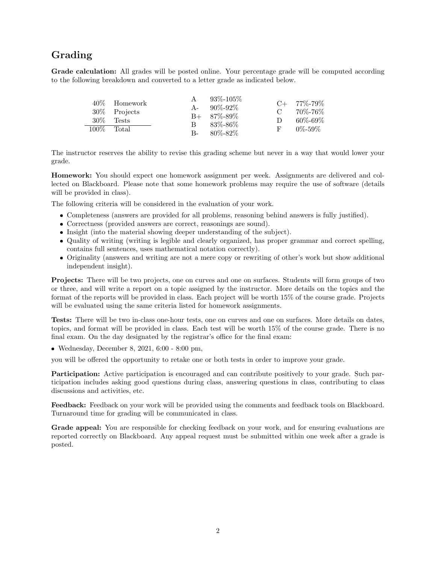### Grading

Grade calculation: All grades will be posted online. Your percentage grade will be computed according to the following breakdown and converted to a letter grade as indicated below.

|         | 40\% Homework<br>$30\%$ Projects |       | $93\% - 105\%$<br>$A - 90\% - 92\%$<br>$B+ 87\% - 89\%$ | $\mathbf C$ | $C+$ 77\%-79\%<br>70%-76% |
|---------|----------------------------------|-------|---------------------------------------------------------|-------------|---------------------------|
| $30\%$  | Tests                            | B.    | - 83%-86%                                               | D           | $60\% - 69\%$             |
| $100\%$ | Total                            | $B -$ | 80%-82%                                                 | F.          | $0\% - 59\%$              |

The instructor reserves the ability to revise this grading scheme but never in a way that would lower your grade.

Homework: You should expect one homework assignment per week. Assignments are delivered and collected on Blackboard. Please note that some homework problems may require the use of software (details will be provided in class).

The following criteria will be considered in the evaluation of your work.

- Completeness (answers are provided for all problems, reasoning behind answers is fully justified).
- Correctness (provided answers are correct, reasonings are sound).
- Insight (into the material showing deeper understanding of the subject).
- Quality of writing (writing is legible and clearly organized, has proper grammar and correct spelling, contains full sentences, uses mathematical notation correctly).
- Originality (answers and writing are not a mere copy or rewriting of other's work but show additional independent insight).

Projects: There will be two projects, one on curves and one on surfaces. Students will form groups of two or three, and will write a report on a topic assigned by the instructor. More details on the topics and the format of the reports will be provided in class. Each project will be worth 15% of the course grade. Projects will be evaluated using the same criteria listed for homework assignments.

Tests: There will be two in-class one-hour tests, one on curves and one on surfaces. More details on dates, topics, and format will be provided in class. Each test will be worth 15% of the course grade. There is no final exam. On the day designated by the registrar's office for the final exam:

Wednesday, December 8, 2021, 6:00 - 8:00 pm,

you will be offered the opportunity to retake one or both tests in order to improve your grade.

Participation: Active participation is encouraged and can contribute positively to your grade. Such participation includes asking good questions during class, answering questions in class, contributing to class discussions and activities, etc.

Feedback: Feedback on your work will be provided using the comments and feedback tools on Blackboard. Turnaround time for grading will be communicated in class.

Grade appeal: You are responsible for checking feedback on your work, and for ensuring evaluations are reported correctly on Blackboard. Any appeal request must be submitted within one week after a grade is posted.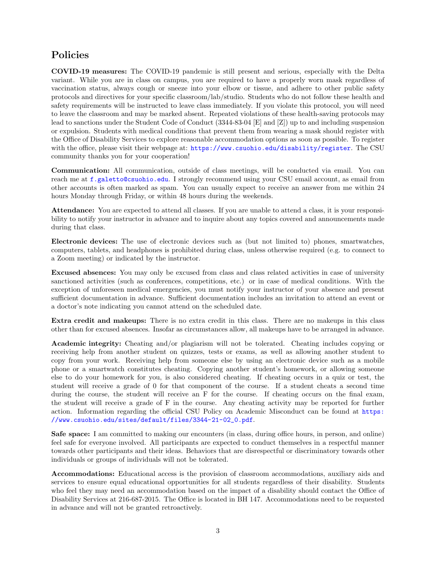#### Policies

COVID-19 measures: The COVID-19 pandemic is still present and serious, especially with the Delta variant. While you are in class on campus, you are required to have a properly worn mask regardless of vaccination status, always cough or sneeze into your elbow or tissue, and adhere to other public safety protocols and directives for your specific classroom/lab/studio. Students who do not follow these health and safety requirements will be instructed to leave class immediately. If you violate this protocol, you will need to leave the classroom and may be marked absent. Repeated violations of these health-saving protocols may lead to sanctions under the Student Code of Conduct (3344-83-04 [E] and [Z]) up to and including suspension or expulsion. Students with medical conditions that prevent them from wearing a mask should register with the Office of Disability Services to explore reasonable accommodation options as soon as possible. To register with the office, please visit their webpage at: <https://www.csuohio.edu/disability/register>. The CSU community thanks you for your cooperation!

Communication: All communication, outside of class meetings, will be conducted via email. You can reach me at [f.galetto@csuohio.edu](mailto:f.galetto@csuohio.edu). I strongly recommend using your CSU email account, as email from other accounts is often marked as spam. You can usually expect to receive an answer from me within 24 hours Monday through Friday, or within 48 hours during the weekends.

Attendance: You are expected to attend all classes. If you are unable to attend a class, it is your responsibility to notify your instructor in advance and to inquire about any topics covered and announcements made during that class.

Electronic devices: The use of electronic devices such as (but not limited to) phones, smartwatches, computers, tablets, and headphones is prohibited during class, unless otherwise required (e.g. to connect to a Zoom meeting) or indicated by the instructor.

Excused absences: You may only be excused from class and class related activities in case of university sanctioned activities (such as conferences, competitions, etc.) or in case of medical conditions. With the exception of unforeseen medical emergencies, you must notify your instructor of your absence and present sufficient documentation in advance. Sufficient documentation includes an invitation to attend an event or a doctor's note indicating you cannot attend on the scheduled date.

Extra credit and makeups: There is no extra credit in this class. There are no makeups in this class other than for excused absences. Insofar as circumstances allow, all makeups have to be arranged in advance.

Academic integrity: Cheating and/or plagiarism will not be tolerated. Cheating includes copying or receiving help from another student on quizzes, tests or exams, as well as allowing another student to copy from your work. Receiving help from someone else by using an electronic device such as a mobile phone or a smartwatch constitutes cheating. Copying another student's homework, or allowing someone else to do your homework for you, is also considered cheating. If cheating occurs in a quiz or test, the student will receive a grade of 0 for that component of the course. If a student cheats a second time during the course, the student will receive an F for the course. If cheating occurs on the final exam, the student will receive a grade of F in the course. Any cheating activity may be reported for further action. Information regarding the official CSU Policy on Academic Misconduct can be found at [https:](https://www.csuohio.edu/sites/default/files/3344-21-02_0.pdf) [//www.csuohio.edu/sites/default/files/3344-21-02\\_0.pdf](https://www.csuohio.edu/sites/default/files/3344-21-02_0.pdf).

Safe space: I am committed to making our encounters (in class, during office hours, in person, and online) feel safe for everyone involved. All participants are expected to conduct themselves in a respectful manner towards other participants and their ideas. Behaviors that are disrespectful or discriminatory towards other individuals or groups of individuals will not be tolerated.

Accommodations: Educational access is the provision of classroom accommodations, auxiliary aids and services to ensure equal educational opportunities for all students regardless of their disability. Students who feel they may need an accommodation based on the impact of a disability should contact the Office of Disability Services at 216-687-2015. The Office is located in BH 147. Accommodations need to be requested in advance and will not be granted retroactively.